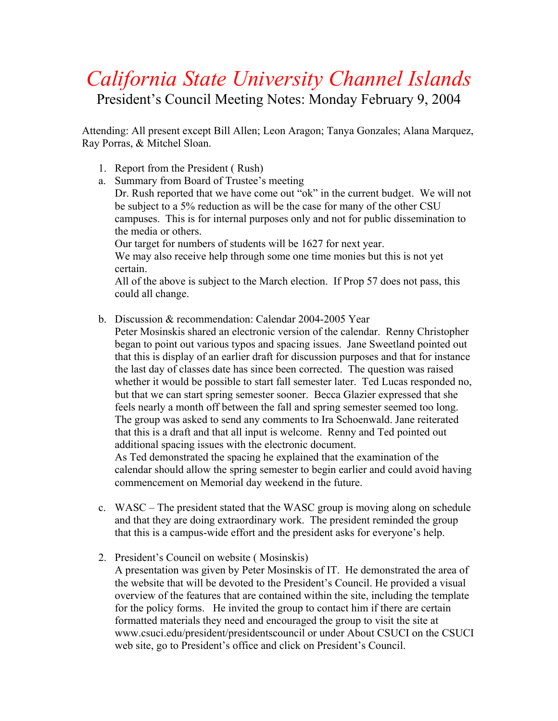## *California State University Channel Islands*

President's Council Meeting Notes: Monday February 9, 2004

Attending: All present except Bill Allen; Leon Aragon; Tanya Gonzales; Alana Marquez, Ray Porras, & Mitchel Sloan.

- 1. Report from the President ( Rush)
- a. Summary from Board of Trustee's meeting

Dr. Rush reported that we have come out "ok" in the current budget. We will not be subject to a 5% reduction as will be the case for many of the other CSU campuses. This is for internal purposes only and not for public dissemination to the media or others.

Our target for numbers of students will be 1627 for next year.

We may also receive help through some one time monies but this is not yet certain.

All of the above is subject to the March election. If Prop 57 does not pass, this could all change.

- b. Discussion & recommendation: Calendar 2004-2005 Year
- Peter Mosinskis shared an electronic version of the calendar. Renny Christopher began to point out various typos and spacing issues. Jane Sweetland pointed out that this is display of an earlier draft for discussion purposes and that for instance the last day of classes date has since been corrected. The question was raised whether it would be possible to start fall semester later. Ted Lucas responded no, but that we can start spring semester sooner. Becca Glazier expressed that she feels nearly a month off between the fall and spring semester seemed too long. The group was asked to send any comments to Ira Schoenwald. Jane reiterated that this is a draft and that all input is welcome. Renny and Ted pointed out additional spacing issues with the electronic document. As Ted demonstrated the spacing he explained that the examination of the calendar should allow the spring semester to begin earlier and could avoid having commencement on Memorial day weekend in the future.
- c. WASC The president stated that the WASC group is moving along on schedule and that they are doing extraordinary work. The president reminded the group that this is a campus-wide effort and the president asks for everyone's help.
- 2. President's Council on website ( Mosinskis)
	- A presentation was given by Peter Mosinskis of IT. He demonstrated the area of the website that will be devoted to the President's Council. He provided a visual overview of the features that are contained within the site, including the template for the policy forms. He invited the group to contact him if there are certain formatted materials they need and encouraged the group to visit the site at www.csuci.edu/president/presidentscouncil or under About CSUCI on the CSUCI web site, go to President's office and click on President's Council.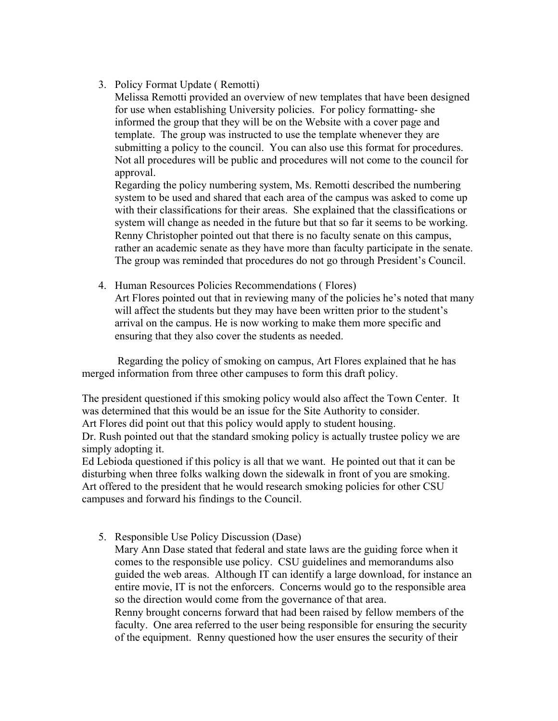3. Policy Format Update ( Remotti)

Melissa Remotti provided an overview of new templates that have been designed for use when establishing University policies. For policy formatting- she informed the group that they will be on the Website with a cover page and template. The group was instructed to use the template whenever they are submitting a policy to the council. You can also use this format for procedures. Not all procedures will be public and procedures will not come to the council for approval.

Regarding the policy numbering system, Ms. Remotti described the numbering system to be used and shared that each area of the campus was asked to come up with their classifications for their areas. She explained that the classifications or system will change as needed in the future but that so far it seems to be working. Renny Christopher pointed out that there is no faculty senate on this campus, rather an academic senate as they have more than faculty participate in the senate. The group was reminded that procedures do not go through President's Council.

4. Human Resources Policies Recommendations ( Flores) Art Flores pointed out that in reviewing many of the policies he's noted that many will affect the students but they may have been written prior to the student's arrival on the campus. He is now working to make them more specific and ensuring that they also cover the students as needed.

 Regarding the policy of smoking on campus, Art Flores explained that he has merged information from three other campuses to form this draft policy.

The president questioned if this smoking policy would also affect the Town Center. It was determined that this would be an issue for the Site Authority to consider. Art Flores did point out that this policy would apply to student housing.

Dr. Rush pointed out that the standard smoking policy is actually trustee policy we are simply adopting it.

Ed Lebioda questioned if this policy is all that we want. He pointed out that it can be disturbing when three folks walking down the sidewalk in front of you are smoking. Art offered to the president that he would research smoking policies for other CSU campuses and forward his findings to the Council.

5. Responsible Use Policy Discussion (Dase)

Mary Ann Dase stated that federal and state laws are the guiding force when it comes to the responsible use policy. CSU guidelines and memorandums also guided the web areas. Although IT can identify a large download, for instance an entire movie, IT is not the enforcers. Concerns would go to the responsible area so the direction would come from the governance of that area. Renny brought concerns forward that had been raised by fellow members of the faculty. One area referred to the user being responsible for ensuring the security of the equipment. Renny questioned how the user ensures the security of their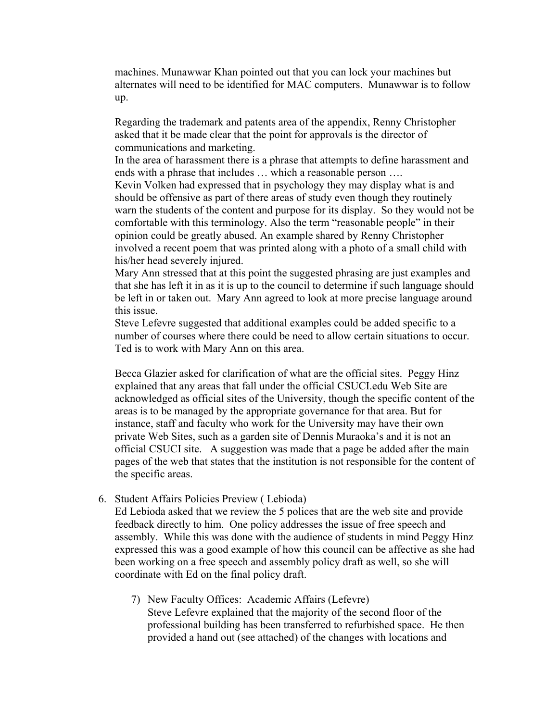machines. Munawwar Khan pointed out that you can lock your machines but alternates will need to be identified for MAC computers. Munawwar is to follow up.

Regarding the trademark and patents area of the appendix, Renny Christopher asked that it be made clear that the point for approvals is the director of communications and marketing.

In the area of harassment there is a phrase that attempts to define harassment and ends with a phrase that includes … which a reasonable person ….

Kevin Volken had expressed that in psychology they may display what is and should be offensive as part of there areas of study even though they routinely warn the students of the content and purpose for its display. So they would not be comfortable with this terminology. Also the term "reasonable people" in their opinion could be greatly abused. An example shared by Renny Christopher involved a recent poem that was printed along with a photo of a small child with his/her head severely injured.

Mary Ann stressed that at this point the suggested phrasing are just examples and that she has left it in as it is up to the council to determine if such language should be left in or taken out. Mary Ann agreed to look at more precise language around this issue.

Steve Lefevre suggested that additional examples could be added specific to a number of courses where there could be need to allow certain situations to occur. Ted is to work with Mary Ann on this area.

Becca Glazier asked for clarification of what are the official sites. Peggy Hinz explained that any areas that fall under the official CSUCI.edu Web Site are acknowledged as official sites of the University, though the specific content of the areas is to be managed by the appropriate governance for that area. But for instance, staff and faculty who work for the University may have their own private Web Sites, such as a garden site of Dennis Muraoka's and it is not an official CSUCI site. A suggestion was made that a page be added after the main pages of the web that states that the institution is not responsible for the content of the specific areas.

6. Student Affairs Policies Preview ( Lebioda)

Ed Lebioda asked that we review the 5 polices that are the web site and provide feedback directly to him. One policy addresses the issue of free speech and assembly. While this was done with the audience of students in mind Peggy Hinz expressed this was a good example of how this council can be affective as she had been working on a free speech and assembly policy draft as well, so she will coordinate with Ed on the final policy draft.

7) New Faculty Offices: Academic Affairs (Lefevre) Steve Lefevre explained that the majority of the second floor of the professional building has been transferred to refurbished space. He then provided a hand out (see attached) of the changes with locations and